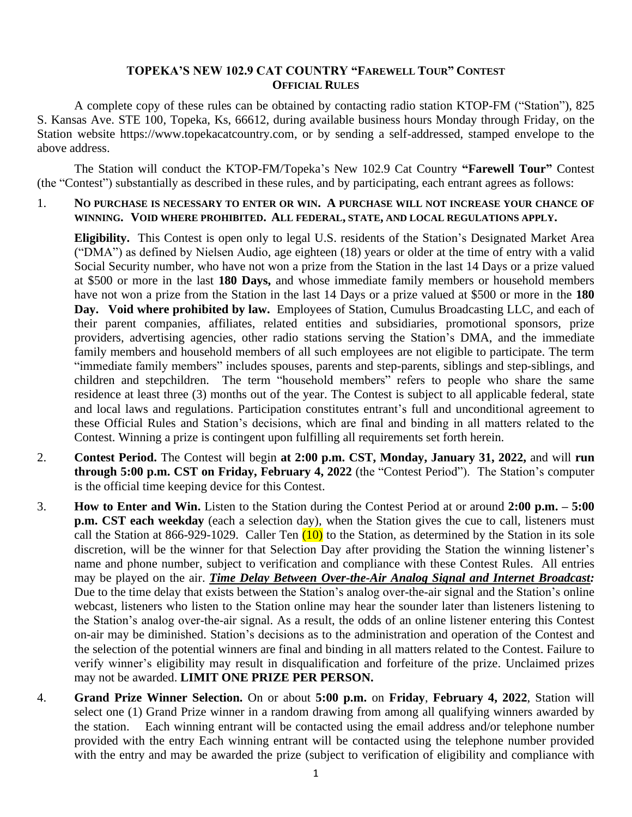## **TOPEKA'S NEW 102.9 CAT COUNTRY "FAREWELL TOUR" CONTEST OFFICIAL RULES**

A complete copy of these rules can be obtained by contacting radio station KTOP-FM ("Station"), 825 S. Kansas Ave. STE 100, Topeka, Ks, 66612, during available business hours Monday through Friday, on the Station website https://www.topekacatcountry.com, or by sending a self-addressed, stamped envelope to the above address.

The Station will conduct the KTOP-FM/Topeka's New 102.9 Cat Country **"Farewell Tour"** Contest (the "Contest") substantially as described in these rules, and by participating, each entrant agrees as follows:

#### 1. **NO PURCHASE IS NECESSARY TO ENTER OR WIN. A PURCHASE WILL NOT INCREASE YOUR CHANCE OF WINNING. VOID WHERE PROHIBITED. ALL FEDERAL, STATE, AND LOCAL REGULATIONS APPLY.**

**Eligibility.** This Contest is open only to legal U.S. residents of the Station's Designated Market Area ("DMA") as defined by Nielsen Audio, age eighteen (18) years or older at the time of entry with a valid Social Security number, who have not won a prize from the Station in the last 14 Days or a prize valued at \$500 or more in the last **180 Days,** and whose immediate family members or household members have not won a prize from the Station in the last 14 Days or a prize valued at \$500 or more in the **180 Day. Void where prohibited by law.** Employees of Station, Cumulus Broadcasting LLC, and each of their parent companies, affiliates, related entities and subsidiaries, promotional sponsors, prize providers, advertising agencies, other radio stations serving the Station's DMA, and the immediate family members and household members of all such employees are not eligible to participate. The term "immediate family members" includes spouses, parents and step-parents, siblings and step-siblings, and children and stepchildren. The term "household members" refers to people who share the same residence at least three (3) months out of the year. The Contest is subject to all applicable federal, state and local laws and regulations. Participation constitutes entrant's full and unconditional agreement to these Official Rules and Station's decisions, which are final and binding in all matters related to the Contest. Winning a prize is contingent upon fulfilling all requirements set forth herein.

- 2. **Contest Period.** The Contest will begin **at 2:00 p.m. CST, Monday, January 31, 2022,** and will **run through 5:00 p.m. CST on Friday, February 4, 2022** (the "Contest Period"). The Station's computer is the official time keeping device for this Contest.
- 3. **How to Enter and Win.** Listen to the Station during the Contest Period at or around **2:00 p.m. – 5:00 p.m. CST each weekday** (each a selection day), when the Station gives the cue to call, listeners must call the Station at 866-929-1029. Caller Ten  $(10)$  to the Station, as determined by the Station in its sole discretion, will be the winner for that Selection Day after providing the Station the winning listener's name and phone number, subject to verification and compliance with these Contest Rules. All entries may be played on the air. *Time Delay Between Over-the-Air Analog Signal and Internet Broadcast:* Due to the time delay that exists between the Station's analog over-the-air signal and the Station's online webcast, listeners who listen to the Station online may hear the sounder later than listeners listening to the Station's analog over-the-air signal. As a result, the odds of an online listener entering this Contest on-air may be diminished. Station's decisions as to the administration and operation of the Contest and the selection of the potential winners are final and binding in all matters related to the Contest. Failure to verify winner's eligibility may result in disqualification and forfeiture of the prize. Unclaimed prizes may not be awarded. **LIMIT ONE PRIZE PER PERSON.**
- 4. **Grand Prize Winner Selection.** On or about **5:00 p.m.** on **Friday**, **February 4, 2022**, Station will select one (1) Grand Prize winner in a random drawing from among all qualifying winners awarded by the station. Each winning entrant will be contacted using the email address and/or telephone number provided with the entry Each winning entrant will be contacted using the telephone number provided with the entry and may be awarded the prize (subject to verification of eligibility and compliance with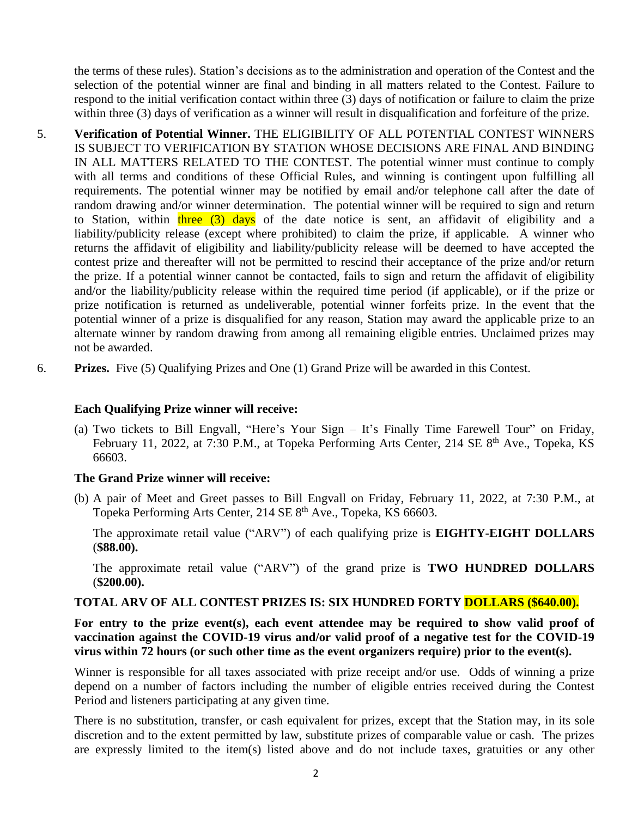the terms of these rules). Station's decisions as to the administration and operation of the Contest and the selection of the potential winner are final and binding in all matters related to the Contest. Failure to respond to the initial verification contact within three (3) days of notification or failure to claim the prize within three (3) days of verification as a winner will result in disqualification and forfeiture of the prize.

- 5. **Verification of Potential Winner.** THE ELIGIBILITY OF ALL POTENTIAL CONTEST WINNERS IS SUBJECT TO VERIFICATION BY STATION WHOSE DECISIONS ARE FINAL AND BINDING IN ALL MATTERS RELATED TO THE CONTEST. The potential winner must continue to comply with all terms and conditions of these Official Rules, and winning is contingent upon fulfilling all requirements. The potential winner may be notified by email and/or telephone call after the date of random drawing and/or winner determination. The potential winner will be required to sign and return to Station, within three (3) days of the date notice is sent, an affidavit of eligibility and a liability/publicity release (except where prohibited) to claim the prize, if applicable. A winner who returns the affidavit of eligibility and liability/publicity release will be deemed to have accepted the contest prize and thereafter will not be permitted to rescind their acceptance of the prize and/or return the prize. If a potential winner cannot be contacted, fails to sign and return the affidavit of eligibility and/or the liability/publicity release within the required time period (if applicable), or if the prize or prize notification is returned as undeliverable, potential winner forfeits prize. In the event that the potential winner of a prize is disqualified for any reason, Station may award the applicable prize to an alternate winner by random drawing from among all remaining eligible entries. Unclaimed prizes may not be awarded.
- 6. **Prizes.** Five (5) Qualifying Prizes and One (1) Grand Prize will be awarded in this Contest.

### **Each Qualifying Prize winner will receive:**

(a) Two tickets to Bill Engvall, "Here's Your Sign – It's Finally Time Farewell Tour" on Friday, February 11, 2022, at 7:30 P.M., at Topeka Performing Arts Center, 214 SE 8<sup>th</sup> Ave., Topeka, KS 66603.

#### **The Grand Prize winner will receive:**

(b) A pair of Meet and Greet passes to Bill Engvall on Friday, February 11, 2022, at 7:30 P.M., at Topeka Performing Arts Center, 214 SE 8<sup>th</sup> Ave., Topeka, KS 66603.

The approximate retail value ("ARV") of each qualifying prize is **EIGHTY-EIGHT DOLLARS** (**\$88.00).**

The approximate retail value ("ARV") of the grand prize is **TWO HUNDRED DOLLARS** (**\$200.00).**

## **TOTAL ARV OF ALL CONTEST PRIZES IS: SIX HUNDRED FORTY DOLLARS (\$640.00).**

**For entry to the prize event(s), each event attendee may be required to show valid proof of vaccination against the COVID-19 virus and/or valid proof of a negative test for the COVID-19 virus within 72 hours (or such other time as the event organizers require) prior to the event(s).**

Winner is responsible for all taxes associated with prize receipt and/or use. Odds of winning a prize depend on a number of factors including the number of eligible entries received during the Contest Period and listeners participating at any given time.

There is no substitution, transfer, or cash equivalent for prizes, except that the Station may, in its sole discretion and to the extent permitted by law, substitute prizes of comparable value or cash. The prizes are expressly limited to the item(s) listed above and do not include taxes, gratuities or any other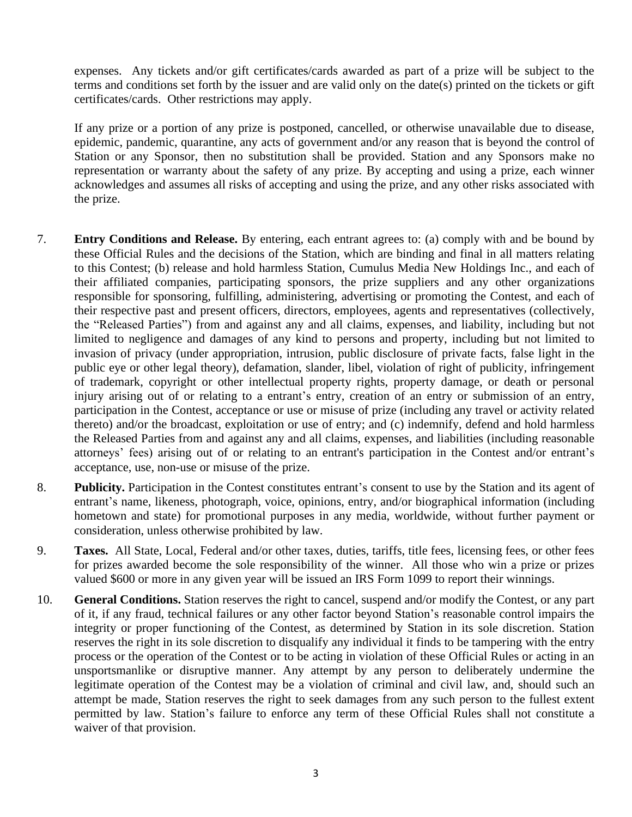expenses. Any tickets and/or gift certificates/cards awarded as part of a prize will be subject to the terms and conditions set forth by the issuer and are valid only on the date(s) printed on the tickets or gift certificates/cards. Other restrictions may apply.

If any prize or a portion of any prize is postponed, cancelled, or otherwise unavailable due to disease, epidemic, pandemic, quarantine, any acts of government and/or any reason that is beyond the control of Station or any Sponsor, then no substitution shall be provided. Station and any Sponsors make no representation or warranty about the safety of any prize. By accepting and using a prize, each winner acknowledges and assumes all risks of accepting and using the prize, and any other risks associated with the prize.

- 7. **Entry Conditions and Release.** By entering, each entrant agrees to: (a) comply with and be bound by these Official Rules and the decisions of the Station, which are binding and final in all matters relating to this Contest; (b) release and hold harmless Station, Cumulus Media New Holdings Inc., and each of their affiliated companies, participating sponsors, the prize suppliers and any other organizations responsible for sponsoring, fulfilling, administering, advertising or promoting the Contest, and each of their respective past and present officers, directors, employees, agents and representatives (collectively, the "Released Parties") from and against any and all claims, expenses, and liability, including but not limited to negligence and damages of any kind to persons and property, including but not limited to invasion of privacy (under appropriation, intrusion, public disclosure of private facts, false light in the public eye or other legal theory), defamation, slander, libel, violation of right of publicity, infringement of trademark, copyright or other intellectual property rights, property damage, or death or personal injury arising out of or relating to a entrant's entry, creation of an entry or submission of an entry, participation in the Contest, acceptance or use or misuse of prize (including any travel or activity related thereto) and/or the broadcast, exploitation or use of entry; and (c) indemnify, defend and hold harmless the Released Parties from and against any and all claims, expenses, and liabilities (including reasonable attorneys' fees) arising out of or relating to an entrant's participation in the Contest and/or entrant's acceptance, use, non-use or misuse of the prize.
- 8. **Publicity.** Participation in the Contest constitutes entrant's consent to use by the Station and its agent of entrant's name, likeness, photograph, voice, opinions, entry, and/or biographical information (including hometown and state) for promotional purposes in any media, worldwide, without further payment or consideration, unless otherwise prohibited by law.
- 9. **Taxes.** All State, Local, Federal and/or other taxes, duties, tariffs, title fees, licensing fees, or other fees for prizes awarded become the sole responsibility of the winner. All those who win a prize or prizes valued \$600 or more in any given year will be issued an IRS Form 1099 to report their winnings.
- 10. **General Conditions.** Station reserves the right to cancel, suspend and/or modify the Contest, or any part of it, if any fraud, technical failures or any other factor beyond Station's reasonable control impairs the integrity or proper functioning of the Contest, as determined by Station in its sole discretion. Station reserves the right in its sole discretion to disqualify any individual it finds to be tampering with the entry process or the operation of the Contest or to be acting in violation of these Official Rules or acting in an unsportsmanlike or disruptive manner. Any attempt by any person to deliberately undermine the legitimate operation of the Contest may be a violation of criminal and civil law, and, should such an attempt be made, Station reserves the right to seek damages from any such person to the fullest extent permitted by law. Station's failure to enforce any term of these Official Rules shall not constitute a waiver of that provision.